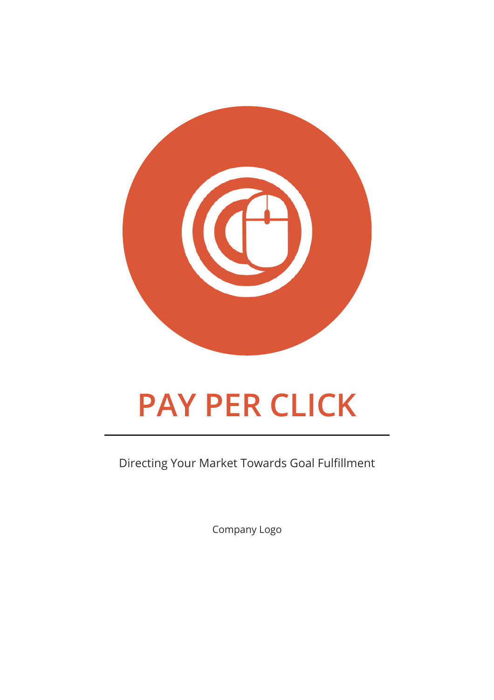

# **PAY PER CLICK**

Directing Your Market Towards Goal Fulfillment

Company Logo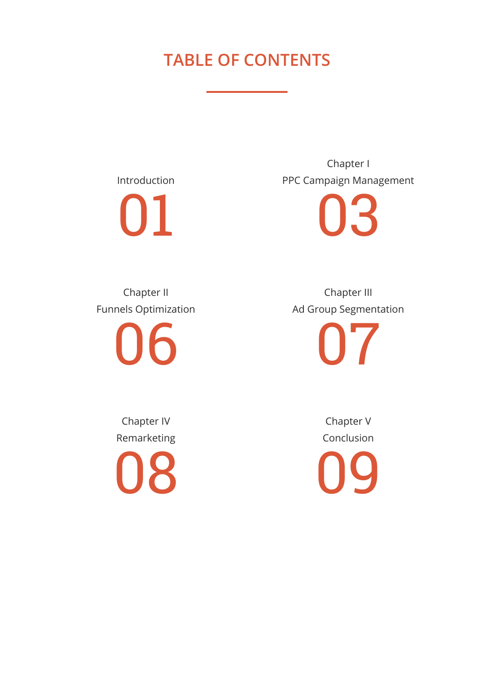# **TABLE OF CONTENTS**

Introduction 01

Chapter I PPC Campaign Management

03

Chapter II Funnels Optimization

06

Chapter III Ad Group Segmentation

07

Chapter IV Remarketing

08

Chapter V Conclusion 09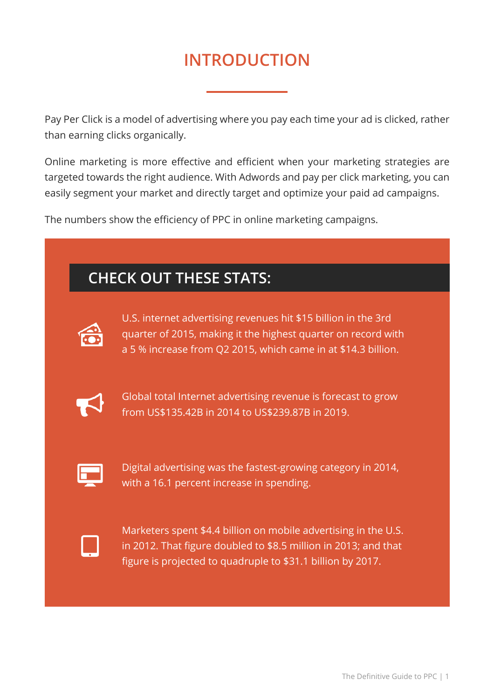# **INTRODUCTION**

Pay Per Click is a model of advertising where you pay each time your ad is clicked, rather than earning clicks organically.

Online marketing is more effective and efficient when your marketing strategies are targeted towards the right audience. With Adwords and pay per click marketing, you can easily segment your market and directly target and optimize your paid ad campaigns.

The numbers show the efficiency of PPC in online marketing campaigns.

| <b>CHECK OUT THESE STATS:</b> |                                                                                                                                                                                                   |
|-------------------------------|---------------------------------------------------------------------------------------------------------------------------------------------------------------------------------------------------|
|                               | U.S. internet advertising revenues hit \$15 billion in the 3rd<br>quarter of 2015, making it the highest quarter on record with<br>a 5 % increase from Q2 2015, which came in at \$14.3 billion.  |
|                               | Global total Internet advertising revenue is forecast to grow<br>from US\$135.42B in 2014 to US\$239.87B in 2019.                                                                                 |
|                               | Digital advertising was the fastest-growing category in 2014,<br>with a 16.1 percent increase in spending.                                                                                        |
|                               | Marketers spent \$4.4 billion on mobile advertising in the U.S.<br>in 2012. That figure doubled to \$8.5 million in 2013; and that<br>figure is projected to quadruple to \$31.1 billion by 2017. |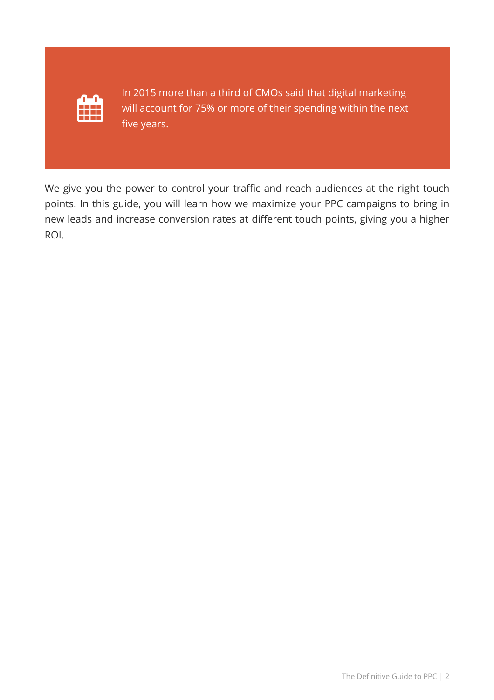

In 2015 more than a third of CMOs said that digital marketing will account for 75% or more of their spending within the next five years.

We give you the power to control your traffic and reach audiences at the right touch points. In this guide, you will learn how we maximize your PPC campaigns to bring in new leads and increase conversion rates at different touch points, giving you a higher ROI.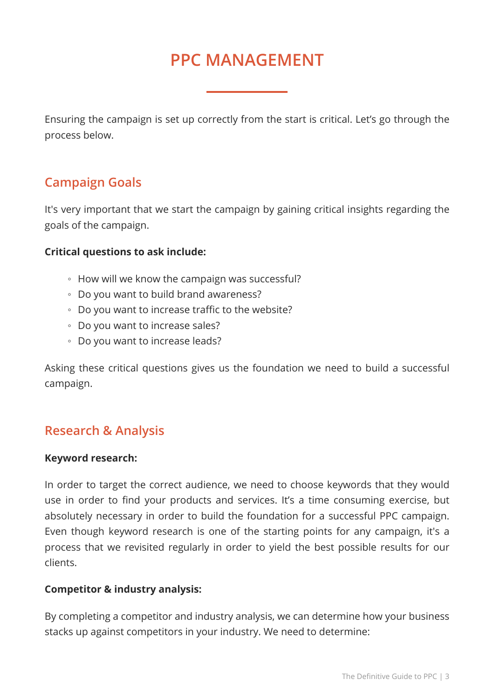# **PPC MANAGEMENT**

Ensuring the campaign is set up correctly from the start is critical. Let's go through the process below.

# **Campaign Goals**

It's very important that we start the campaign by gaining critical insights regarding the goals of the campaign.

### **Critical questions to ask include:**

- How will we know the campaign was successful?
- Do you want to build brand awareness?
- Do you want to increase traffic to the website?
- Do you want to increase sales?
- Do you want to increase leads?

Asking these critical questions gives us the foundation we need to build a successful campaign.

### **Research & Analysis**

#### **Keyword research:**

In order to target the correct audience, we need to choose keywords that they would use in order to find your products and services. It's a time consuming exercise, but absolutely necessary in order to build the foundation for a successful PPC campaign. Even though keyword research is one of the starting points for any campaign, it's a process that we revisited regularly in order to yield the best possible results for our clients.

### **Competitor & industry analysis:**

By completing a competitor and industry analysis, we can determine how your business stacks up against competitors in your industry. We need to determine: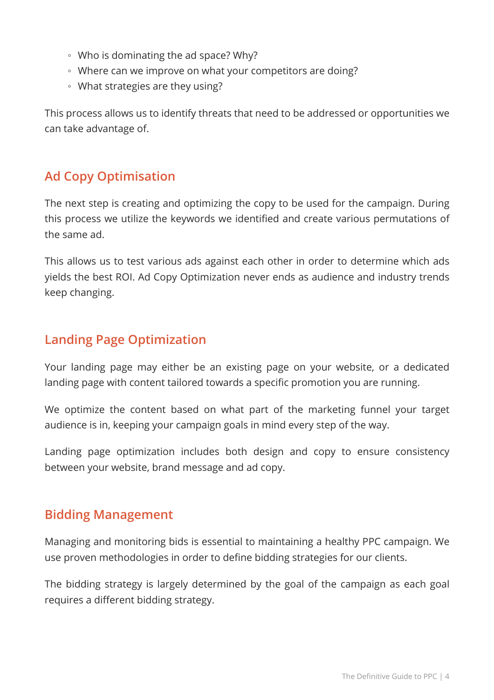- Who is dominating the ad space? Why?
- Where can we improve on what your competitors are doing?
- What strategies are they using?

This process allows us to identify threats that need to be addressed or opportunities we can take advantage of.

# **Ad Copy Optimisation**

The next step is creating and optimizing the copy to be used for the campaign. During this process we utilize the keywords we identified and create various permutations of the same ad.

This allows us to test various ads against each other in order to determine which ads yields the best ROI. Ad Copy Optimization never ends as audience and industry trends keep changing.

# **Landing Page Optimization**

Your landing page may either be an existing page on your website, or a dedicated landing page with content tailored towards a specific promotion you are running.

We optimize the content based on what part of the marketing funnel your target audience is in, keeping your campaign goals in mind every step of the way.

Landing page optimization includes both design and copy to ensure consistency between your website, brand message and ad copy.

# **Bidding Management**

Managing and monitoring bids is essential to maintaining a healthy PPC campaign. We use proven methodologies in order to define bidding strategies for our clients.

The bidding strategy is largely determined by the goal of the campaign as each goal requires a different bidding strategy.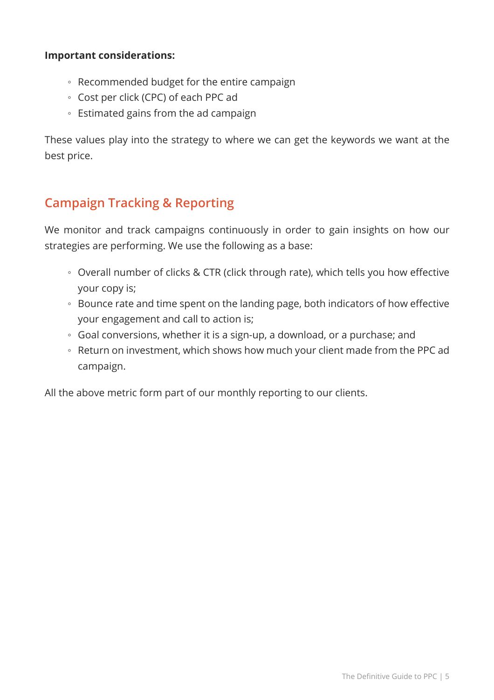#### **Important considerations:**

- Recommended budget for the entire campaign
- Cost per click (CPC) of each PPC ad
- Estimated gains from the ad campaign

These values play into the strategy to where we can get the keywords we want at the best price.

# **Campaign Tracking & Reporting**

We monitor and track campaigns continuously in order to gain insights on how our strategies are performing. We use the following as a base:

- Overall number of clicks & CTR (click through rate), which tells you how effective your copy is;
- Bounce rate and time spent on the landing page, both indicators of how effective your engagement and call to action is;
- Goal conversions, whether it is a sign-up, a download, or a purchase; and
- Return on investment, which shows how much your client made from the PPC ad campaign.

All the above metric form part of our monthly reporting to our clients.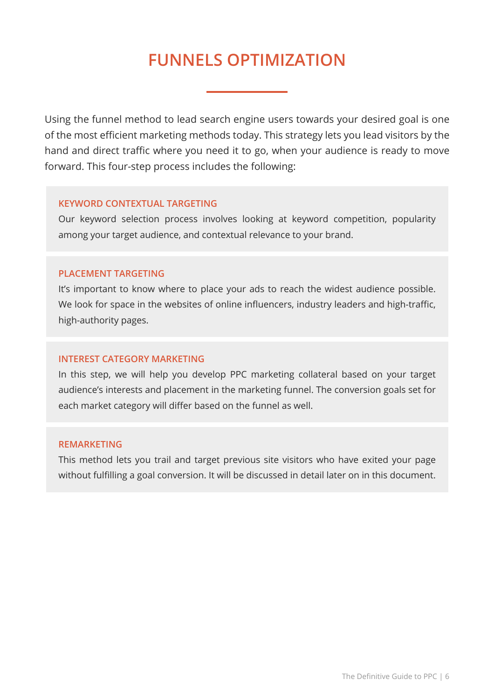# **FUNNELS OPTIMIZATION**

Using the funnel method to lead search engine users towards your desired goal is one of the most efficient marketing methods today. This strategy lets you lead visitors by the hand and direct traffic where you need it to go, when your audience is ready to move forward. This four-step process includes the following:

#### **KEYWORD CONTEXTUAL TARGETING**

Our keyword selection process involves looking at keyword competition, popularity among your target audience, and contextual relevance to your brand.

#### **PLACEMENT TARGETING**

It's important to know where to place your ads to reach the widest audience possible. We look for space in the websites of online influencers, industry leaders and high-traffic, high-authority pages.

#### **INTEREST CATEGORY MARKETING**

In this step, we will help you develop PPC marketing collateral based on your target audience's interests and placement in the marketing funnel. The conversion goals set for each market category will differ based on the funnel as well.

#### **REMARKETING**

This method lets you trail and target previous site visitors who have exited your page without fulfilling a goal conversion. It will be discussed in detail later on in this document.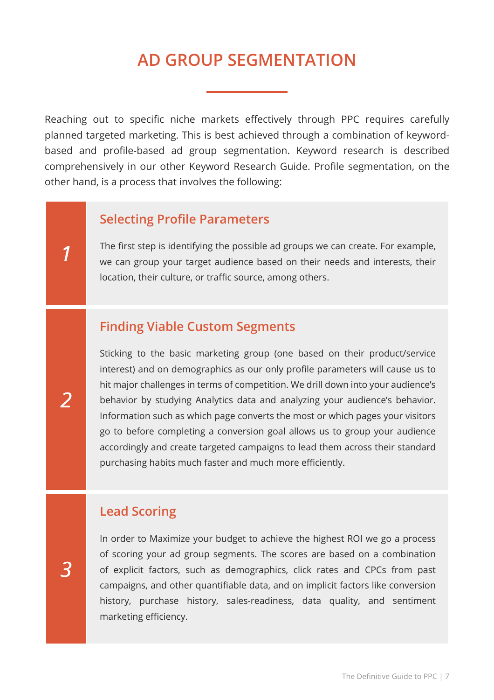# **AD GROUP SEGMENTATION**

Reaching out to specific niche markets effectively through PPC requires carefully planned targeted marketing. This is best achieved through a combination of keywordbased and profile-based ad group segmentation. Keyword research is described comprehensively in our other Keyword Research Guide. Profile segmentation, on the other hand, is a process that involves the following:

### **Selecting Profile Parameters**

The first step is identifying the possible ad groups we can create. For example, we can group your target audience based on their needs and interests, their location, their culture, or traffic source, among others.

### **Finding Viable Custom Segments**

Sticking to the basic marketing group (one based on their product/service interest) and on demographics as our only profile parameters will cause us to hit major challenges in terms of competition. We drill down into your audience's behavior by studying Analytics data and analyzing your audience's behavior. Information such as which page converts the most or which pages your visitors go to before completing a conversion goal allows us to group your audience accordingly and create targeted campaigns to lead them across their standard purchasing habits much faster and much more efficiently.

### **Lead Scoring**

In order to Maximize your budget to achieve the highest ROI we go a process of scoring your ad group segments. The scores are based on a combination of explicit factors, such as demographics, click rates and CPCs from past campaigns, and other quantifiable data, and on implicit factors like conversion history, purchase history, sales-readiness, data quality, and sentiment marketing efficiency.

*1*

*2*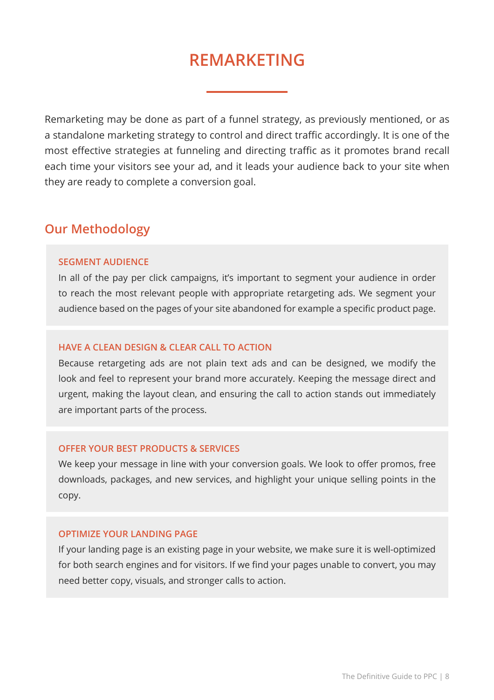# **REMARKETING**

Remarketing may be done as part of a funnel strategy, as previously mentioned, or as a standalone marketing strategy to control and direct traffic accordingly. It is one of the most effective strategies at funneling and directing traffic as it promotes brand recall each time your visitors see your ad, and it leads your audience back to your site when they are ready to complete a conversion goal.

### **Our Methodology**

#### **SEGMENT AUDIENCE**

In all of the pay per click campaigns, it's important to segment your audience in order to reach the most relevant people with appropriate retargeting ads. We segment your audience based on the pages of your site abandoned for example a specific product page.

#### **HAVE A CLEAN DESIGN & CLEAR CALL TO ACTION**

Because retargeting ads are not plain text ads and can be designed, we modify the look and feel to represent your brand more accurately. Keeping the message direct and urgent, making the layout clean, and ensuring the call to action stands out immediately are important parts of the process.

#### **OFFER YOUR BEST PRODUCTS & SERVICES**

We keep your message in line with your conversion goals. We look to offer promos, free downloads, packages, and new services, and highlight your unique selling points in the copy.

#### **OPTIMIZE YOUR LANDING PAGE**

If your landing page is an existing page in your website, we make sure it is well-optimized for both search engines and for visitors. If we find your pages unable to convert, you may need better copy, visuals, and stronger calls to action.